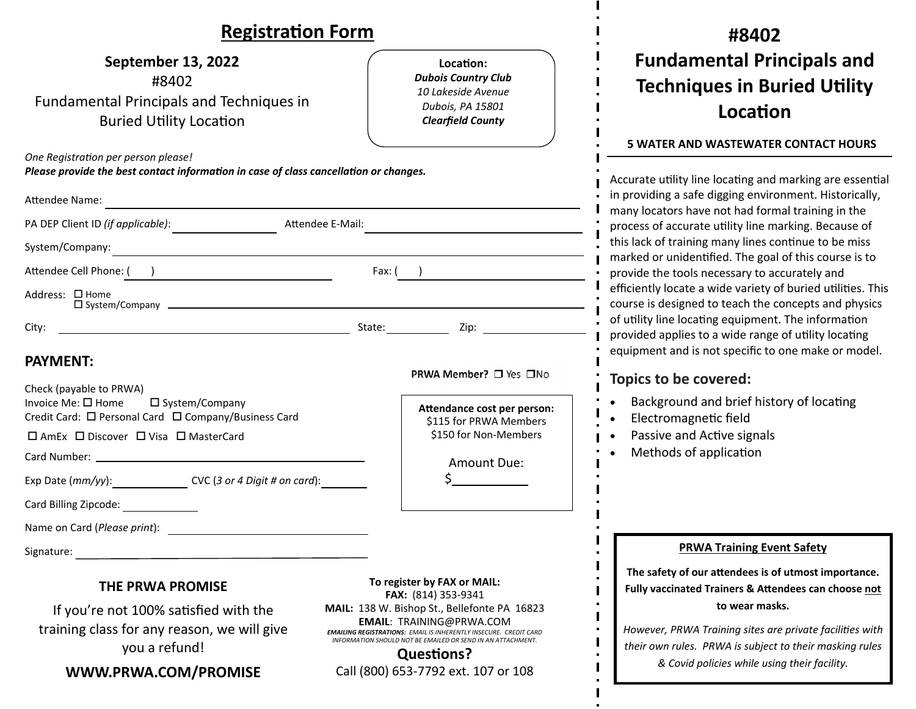| <b>Registration Form</b>                                                                                                                                                                                                       |                                                                                                                                                                                                                                                 | #8402                                                                                                                                                                                                                                                                                |  |
|--------------------------------------------------------------------------------------------------------------------------------------------------------------------------------------------------------------------------------|-------------------------------------------------------------------------------------------------------------------------------------------------------------------------------------------------------------------------------------------------|--------------------------------------------------------------------------------------------------------------------------------------------------------------------------------------------------------------------------------------------------------------------------------------|--|
| <b>September 13, 2022</b><br>#8402<br><b>Fundamental Principals and Techniques in</b><br><b>Buried Utility Location</b>                                                                                                        | Location:<br><b>Dubois Country Club</b><br>10 Lakeside Avenue<br>Dubois, PA 15801<br><b>Clearfield County</b>                                                                                                                                   | <b>Fundamental Principals and</b><br><b>Techniques in Buried Utility</b><br>Location<br><b>5 WATER AND WASTEWATER CONTACT HOURS</b>                                                                                                                                                  |  |
| One Registration per person please!<br>Please provide the best contact information in case of class cancellation or changes.                                                                                                   |                                                                                                                                                                                                                                                 | Accurate utility line locating and marking are essential                                                                                                                                                                                                                             |  |
| Attendee Name:                                                                                                                                                                                                                 |                                                                                                                                                                                                                                                 | in providing a safe digging environment. Historically,<br>many locators have not had formal training in the<br>process of accurate utility line marking. Because of<br>this lack of training many lines continue to be miss<br>marked or unidentified. The goal of this course is to |  |
| PA DEP Client ID (if applicable):<br>Attendee E-Mail:                                                                                                                                                                          |                                                                                                                                                                                                                                                 |                                                                                                                                                                                                                                                                                      |  |
| System/Company:<br><u> 1989 - Johann Stoff, fransk politik (d. 1989)</u>                                                                                                                                                       |                                                                                                                                                                                                                                                 |                                                                                                                                                                                                                                                                                      |  |
| Attendee Cell Phone: ( )                                                                                                                                                                                                       | Fax: ( )                                                                                                                                                                                                                                        | provide the tools necessary to accurately and                                                                                                                                                                                                                                        |  |
| Address: □ Home<br>$\square$ System/Company $\square$                                                                                                                                                                          |                                                                                                                                                                                                                                                 | efficiently locate a wide variety of buried utilities. This<br>course is designed to teach the concepts and physics                                                                                                                                                                  |  |
| City:                                                                                                                                                                                                                          |                                                                                                                                                                                                                                                 | of utility line locating equipment. The information<br>provided applies to a wide range of utility locating                                                                                                                                                                          |  |
| <b>PAYMENT:</b><br>Check (payable to PRWA)                                                                                                                                                                                     | PRWA Member? □ Yes □No                                                                                                                                                                                                                          | equipment and is not specific to one make or model.<br>Topics to be covered:                                                                                                                                                                                                         |  |
| Invoice Me: □ Home<br>□ System/Company<br>Credit Card: □ Personal Card □ Company/Business Card                                                                                                                                 | Attendance cost per person:                                                                                                                                                                                                                     | Background and brief history of locating<br>Electromagnetic field                                                                                                                                                                                                                    |  |
| □ AmEx □ Discover □ Visa □ MasterCard                                                                                                                                                                                          | \$115 for PRWA Members<br>\$150 for Non-Members                                                                                                                                                                                                 | Passive and Active signals                                                                                                                                                                                                                                                           |  |
|                                                                                                                                                                                                                                | Amount Due:                                                                                                                                                                                                                                     | Methods of application                                                                                                                                                                                                                                                               |  |
| Exp Date (mm/yy): CVC (3 or 4 Digit # on card):                                                                                                                                                                                |                                                                                                                                                                                                                                                 |                                                                                                                                                                                                                                                                                      |  |
| Card Billing Zipcode:                                                                                                                                                                                                          |                                                                                                                                                                                                                                                 |                                                                                                                                                                                                                                                                                      |  |
| Name on Card (Please print):<br><u> 1989 - Johann Stoff, fransk politik (d. 1989)</u>                                                                                                                                          |                                                                                                                                                                                                                                                 |                                                                                                                                                                                                                                                                                      |  |
| Signature: The Commission of the Commission of the Commission of the Commission of the Commission of the Commission of the Commission of the Commission of the Commission of the Commission of the Commission of the Commissio |                                                                                                                                                                                                                                                 | <b>PRWA Training Event Safety</b>                                                                                                                                                                                                                                                    |  |
| THE PRWA PROMISE                                                                                                                                                                                                               | To register by FAX or MAIL:<br>FAX: (814) 353-9341                                                                                                                                                                                              | The safety of our attendees is of utmost importance.<br>Fully vaccinated Trainers & Attendees can choose not                                                                                                                                                                         |  |
| If you're not 100% satisfied with the<br>training class for any reason, we will give<br>you a refund!                                                                                                                          | MAIL: 138 W. Bishop St., Bellefonte PA 16823<br><b>EMAIL: TRAINING@PRWA.COM</b><br><b>EMAILING REGISTRATIONS: EMAIL IS INHERENTLY INSECURE. CREDIT CARD</b><br>INFORMATION SHOULD NOT BE EMAILED OR SEND IN AN ATTACHMENT.<br><b>Questions?</b> | to wear masks.<br>However, PRWA Training sites are private facilities with<br>their own rules. PRWA is subject to their masking rules                                                                                                                                                |  |
| WWW.PRWA.COM/PROMISE                                                                                                                                                                                                           | Call (800) 653-7792 ext. 107 or 108                                                                                                                                                                                                             | & Covid policies while using their facility.                                                                                                                                                                                                                                         |  |